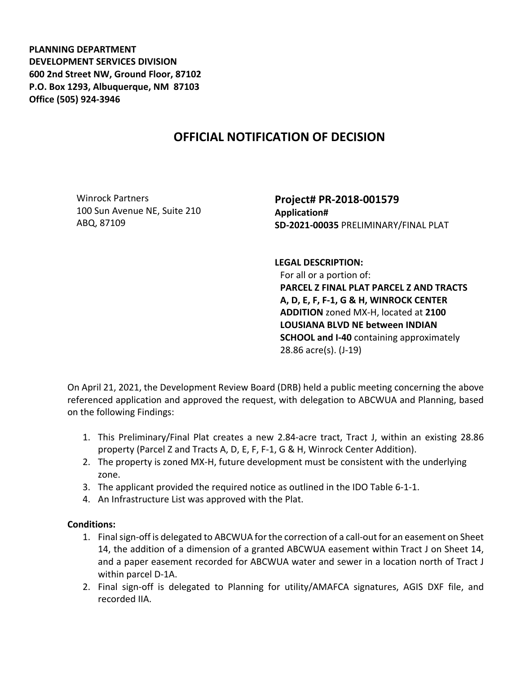**PLANNING DEPARTMENT DEVELOPMENT SERVICES DIVISION 600 2nd Street NW, Ground Floor, 87102 P.O. Box 1293, Albuquerque, NM 87103 Office (505) 924-3946** 

## **OFFICIAL NOTIFICATION OF DECISION**

Winrock Partners 100 Sun Avenue NE, Suite 210 ABQ, 87109

**Project# PR-2018-001579 Application# SD-2021-00035** PRELIMINARY/FINAL PLAT

**LEGAL DESCRIPTION:**

For all or a portion of: **PARCEL Z FINAL PLAT PARCEL Z AND TRACTS A, D, E, F, F-1, G & H, WINROCK CENTER ADDITION** zoned MX-H, located at **2100 LOUSIANA BLVD NE between INDIAN SCHOOL and I-40** containing approximately 28.86 acre(s). (J-19)

On April 21, 2021, the Development Review Board (DRB) held a public meeting concerning the above referenced application and approved the request, with delegation to ABCWUA and Planning, based on the following Findings:

- 1. This Preliminary/Final Plat creates a new 2.84-acre tract, Tract J, within an existing 28.86 property (Parcel Z and Tracts A, D, E, F, F-1, G & H, Winrock Center Addition).
- 2. The property is zoned MX-H, future development must be consistent with the underlying zone.
- 3. The applicant provided the required notice as outlined in the IDO Table 6-1-1.
- 4. An Infrastructure List was approved with the Plat.

## **Conditions:**

- 1. Final sign-off is delegated to ABCWUA for the correction of a call-out for an easement on Sheet 14, the addition of a dimension of a granted ABCWUA easement within Tract J on Sheet 14, and a paper easement recorded for ABCWUA water and sewer in a location north of Tract J within parcel D-1A.
- 2. Final sign-off is delegated to Planning for utility/AMAFCA signatures, AGIS DXF file, and recorded IIA.